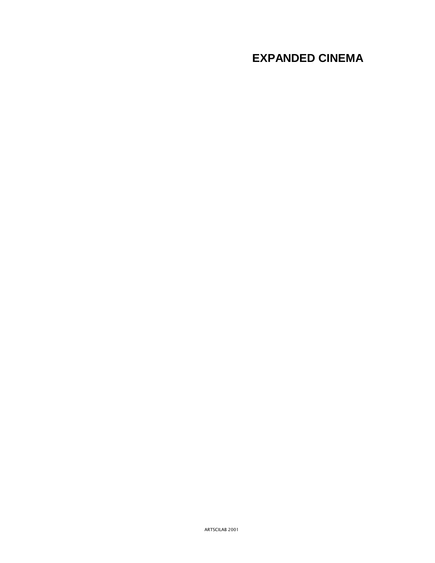# **EXPANDED CINEMA**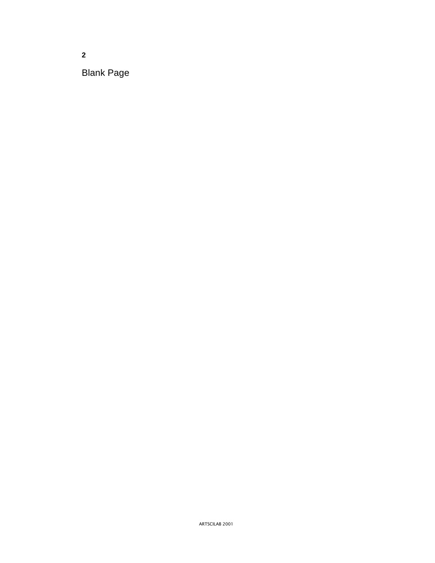Blank Page

**2** 

ARTSCILAB 2001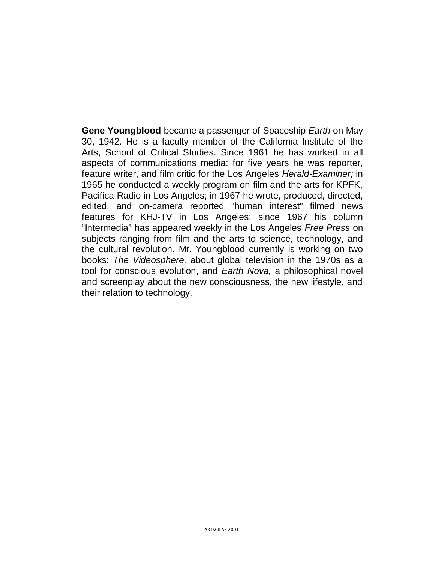**Gene Youngblood** became a passenger of Spaceship *Earth* on May 30, 1942. He is a faculty member of the California Institute of the Arts, School of Critical Studies. Since 1961 he has worked in all aspects of communications media: for five years he was reporter, feature writer, and film critic for the Los Angeles *Herald-Examiner;* in 1965 he conducted a weekly program on film and the arts for KPFK, Pacifica Radio in Los Angeles; in 1967 he wrote, produced, directed, edited, and on-camera reported "human interest" filmed news features for KHJ-TV in Los Angeles; since 1967 his column "Intermedia" has appeared weekly in the Los Angeles *Free Press* on subjects ranging from film and the arts to science, technology, and the cultural revolution. Mr. Youngblood currently is working on two books: *The Videosphere,* about global television in the 1970s as a tool for conscious evolution, and *Earth Nova,* a philosophical novel and screenplay about the new consciousness, the new lifestyle, and their relation to technology.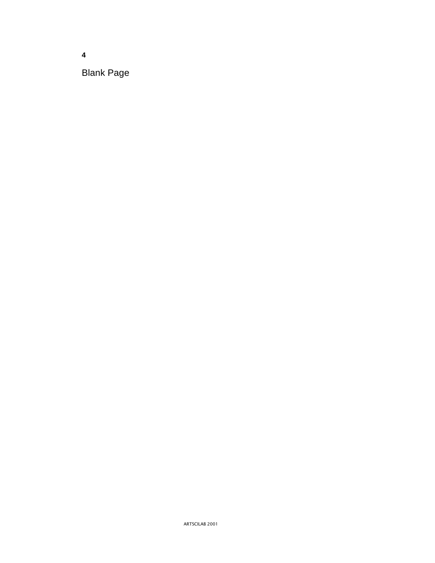Blank Page

**4** 

ARTSCILAB 2001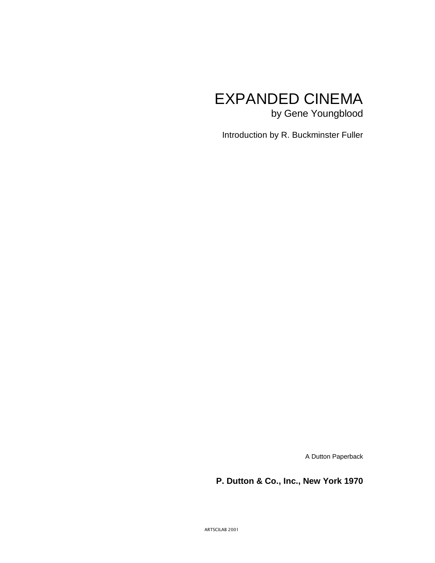

Introduction by R. Buckminster Fuller

A Dutton Paperback

## **P. Dutton & Co., Inc., New York 1970**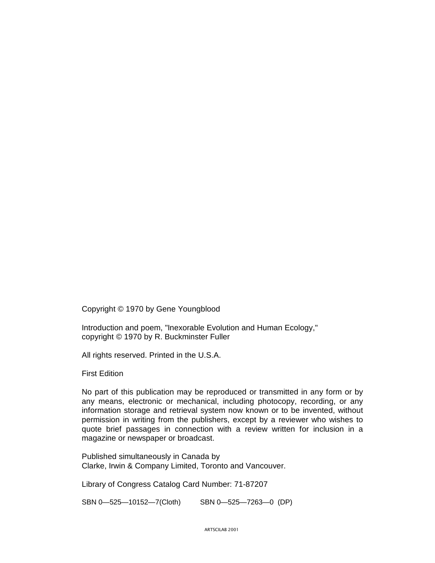Copyright © 1970 by Gene Youngblood

Introduction and poem, "Inexorable Evolution and Human Ecology," copyright © 1970 by R. Buckminster Fuller

All rights reserved. Printed in the U.S.A.

First Edition

No part of this publication may be reproduced or transmitted in any form or by any means, electronic or mechanical, including photocopy, recording, or any information storage and retrieval system now known or to be invented, without permission in writing from the publishers, except by a reviewer who wishes to quote brief passages in connection with a review written for inclusion in a magazine or newspaper or broadcast.

Published simultaneously in Canada by Clarke, Irwin & Company Limited, Toronto and Vancouver.

Library of Congress Catalog Card Number: 71-87207

SBN 0— 525— 10152— 7(Cloth) SBN 0— 525— 7263— 0 (DP)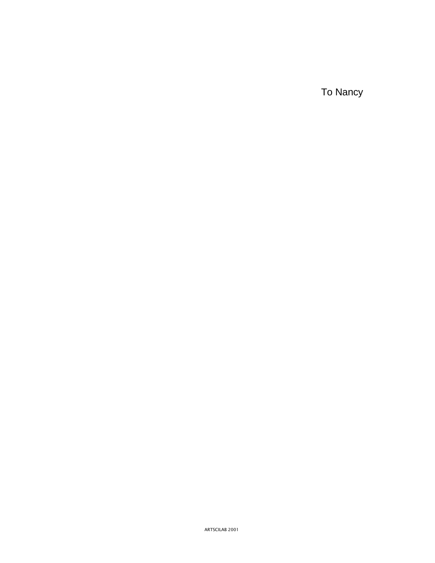To Nancy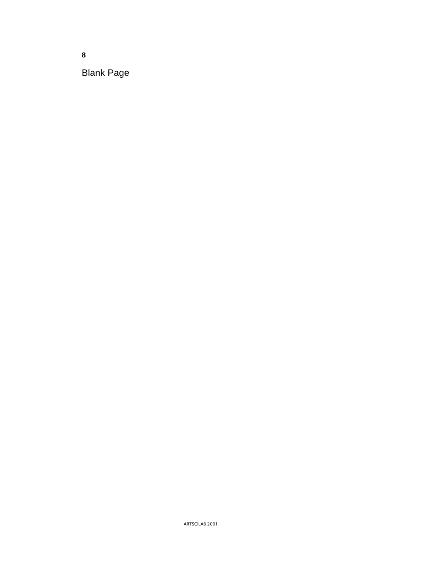Blank Page

**8** 

ARTSCILAB 2001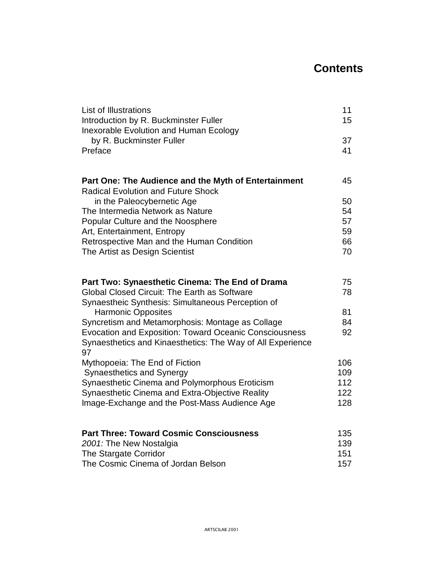## **Contents**

| <b>List of Illustrations</b><br>Introduction by R. Buckminster Fuller<br>Inexorable Evolution and Human Ecology                   | 11<br>15 |
|-----------------------------------------------------------------------------------------------------------------------------------|----------|
| by R. Buckminster Fuller<br>Preface                                                                                               | 37<br>41 |
| Part One: The Audience and the Myth of Entertainment<br><b>Radical Evolution and Future Shock</b>                                 | 45       |
| in the Paleocybernetic Age                                                                                                        | 50       |
| The Intermedia Network as Nature                                                                                                  | 54       |
| Popular Culture and the Noosphere                                                                                                 | 57       |
| Art, Entertainment, Entropy                                                                                                       | 59       |
| Retrospective Man and the Human Condition<br>The Artist as Design Scientist                                                       | 66<br>70 |
|                                                                                                                                   |          |
| Part Two: Synaesthetic Cinema: The End of Drama                                                                                   | 75       |
| <b>Global Closed Circuit: The Earth as Software</b><br>Synaestheic Synthesis: Simultaneous Perception of                          | 78       |
| <b>Harmonic Opposites</b>                                                                                                         | 81       |
| Syncretism and Metamorphosis: Montage as Collage                                                                                  | 84       |
| <b>Evocation and Exposition: Toward Oceanic Consciousness</b><br>Synaesthetics and Kinaesthetics: The Way of All Experience<br>97 | 92       |
| Mythopoeia: The End of Fiction                                                                                                    | 106      |
| <b>Synaesthetics and Synergy</b>                                                                                                  | 109      |
| Synaesthetic Cinema and Polymorphous Eroticism                                                                                    | 112      |
| Synaesthetic Cinema and Extra-Objective Reality                                                                                   | 122      |
| Image-Exchange and the Post-Mass Audience Age                                                                                     | 128      |
| <b>Part Three: Toward Cosmic Consciousness</b>                                                                                    | 135      |
| 2001: The New Nostalgia                                                                                                           | 139      |
| The Stargate Corridor                                                                                                             | 151      |
| The Cosmic Cinema of Jordan Belson                                                                                                | 157      |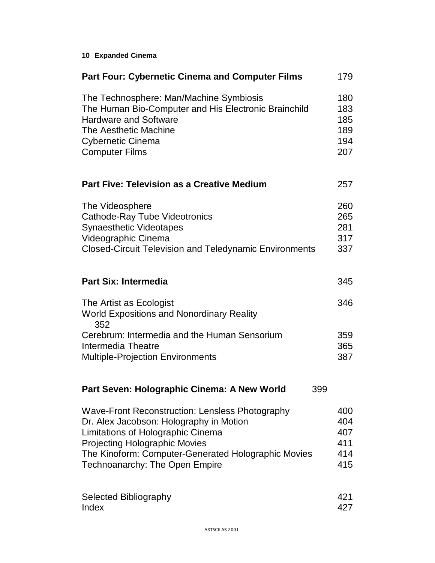| <b>Part Four: Cybernetic Cinema and Computer Films</b>                             | 179 |
|------------------------------------------------------------------------------------|-----|
| The Technosphere: Man/Machine Symbiosis                                            | 180 |
| The Human Bio-Computer and His Electronic Brainchild                               | 183 |
| <b>Hardware and Software</b>                                                       | 185 |
| The Aesthetic Machine                                                              | 189 |
| <b>Cybernetic Cinema</b>                                                           | 194 |
| <b>Computer Films</b>                                                              | 207 |
| <b>Part Five: Television as a Creative Medium</b>                                  | 257 |
| The Videosphere                                                                    | 260 |
| <b>Cathode-Ray Tube Videotronics</b>                                               | 265 |
| <b>Synaesthetic Videotapes</b>                                                     | 281 |
| Videographic Cinema                                                                | 317 |
| <b>Closed-Circuit Television and Teledynamic Environments</b>                      | 337 |
| <b>Part Six: Intermedia</b>                                                        | 345 |
| The Artist as Ecologist<br><b>World Expositions and Nonordinary Reality</b><br>352 | 346 |
| Cerebrum: Intermedia and the Human Sensorium                                       | 359 |
| Intermedia Theatre                                                                 | 365 |
| <b>Multiple-Projection Environments</b>                                            | 387 |
| Part Seven: Holographic Cinema: A New World<br>399                                 |     |
| Wave-Front Reconstruction: Lensless Photography                                    | 400 |
| Dr. Alex Jacobson: Holography in Motion                                            | 404 |
| Limitations of Holographic Cinema                                                  | 407 |
| <b>Projecting Holographic Movies</b>                                               | 411 |
| The Kinoform: Computer-Generated Holographic Movies                                | 414 |
| Technoanarchy: The Open Empire                                                     | 415 |
| <b>Selected Bibliography</b>                                                       | 421 |
| Index                                                                              | 427 |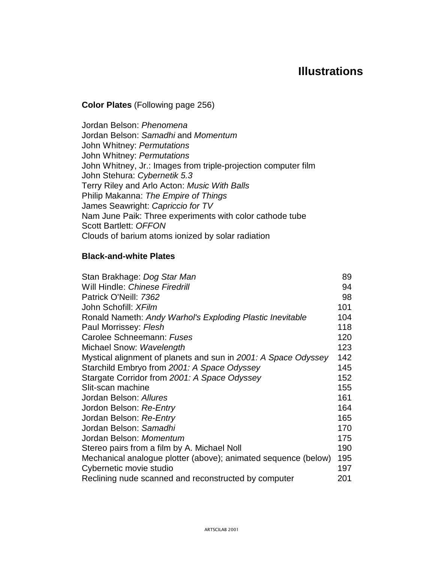## **Illustrations**

### **Color Plates** (Following page 256)

Jordan Belson: *Phenomena* Jordan Belson: *Samadhi* and *Momentum* John Whitney: *Permutations* John Whitney: *Permutations* John Whitney, Jr.: Images from triple-projection computer film John Stehura: *Cybernetik 5.3* Terry Riley and Arlo Acton: *Music With Balls* Philip Makanna: *The Empire of Things* James Seawright: *Capriccio for TV* Nam June Paik: Three experiments with color cathode tube Scott Bartlett: *OFFON* Clouds of barium atoms ionized by solar radiation

### **Black-and-white Plates**

| Stan Brakhage: Dog Star Man                                    | 89  |
|----------------------------------------------------------------|-----|
| Will Hindle: Chinese Firedrill                                 | 94  |
| Patrick O'Neill: 7362                                          | 98  |
| John Schofill: XFilm                                           | 101 |
| Ronald Nameth: Andy Warhol's Exploding Plastic Inevitable      | 104 |
| Paul Morrissey: Flesh                                          | 118 |
| Carolee Schneemann: Fuses                                      | 120 |
| Michael Snow: Wavelength                                       | 123 |
| Mystical alignment of planets and sun in 2001: A Space Odyssey | 142 |
| Starchild Embryo from 2001: A Space Odyssey                    | 145 |
| Stargate Corridor from 2001: A Space Odyssey                   | 152 |
| Slit-scan machine                                              | 155 |
| Jordan Belson: Allures                                         | 161 |
| Jordon Belson: Re-Entry                                        | 164 |
| Jordan Belson: Re-Entry                                        | 165 |
| Jordan Belson: Samadhi                                         | 170 |
| Jordan Belson: Momentum                                        | 175 |
| Stereo pairs from a film by A. Michael Noll                    | 190 |
| Mechanical analogue plotter (above); animated sequence (below) | 195 |
| Cybernetic movie studio                                        | 197 |
| Reclining nude scanned and reconstructed by computer           | 201 |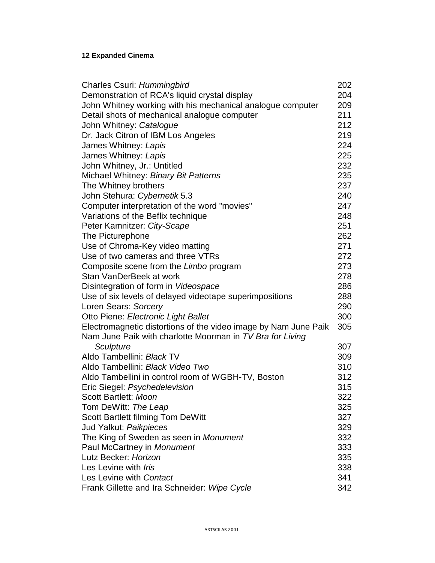| Charles Csuri: Hummingbird                                      | 202 |
|-----------------------------------------------------------------|-----|
| Demonstration of RCA's liquid crystal display                   | 204 |
| John Whitney working with his mechanical analogue computer      | 209 |
| Detail shots of mechanical analogue computer                    | 211 |
| John Whitney: Catalogue                                         | 212 |
| Dr. Jack Citron of IBM Los Angeles                              | 219 |
| James Whitney: Lapis                                            | 224 |
| James Whitney: Lapis                                            | 225 |
| John Whitney, Jr.: Untitled                                     | 232 |
| Michael Whitney: Binary Bit Patterns                            | 235 |
| The Whitney brothers                                            | 237 |
| John Stehura: Cybernetik 5.3                                    | 240 |
| Computer interpretation of the word "movies"                    | 247 |
| Variations of the Beflix technique                              | 248 |
| Peter Kamnitzer: City-Scape                                     | 251 |
| The Picturephone                                                | 262 |
| Use of Chroma-Key video matting                                 | 271 |
| Use of two cameras and three VTRs                               | 272 |
| Composite scene from the Limbo program                          | 273 |
| Stan VanDerBeek at work                                         | 278 |
| Disintegration of form in Videospace                            | 286 |
| Use of six levels of delayed videotape superimpositions         | 288 |
| Loren Sears: Sorcery                                            | 290 |
| Otto Piene: Electronic Light Ballet                             | 300 |
| Electromagnetic distortions of the video image by Nam June Paik | 305 |
| Nam June Paik with charlotte Moorman in TV Bra for Living       |     |
| Sculpture                                                       | 307 |
| Aldo Tambellini: Black TV                                       | 309 |
| Aldo Tambellini: Black Video Two                                | 310 |
| Aldo Tambellini in control room of WGBH-TV, Boston              | 312 |
| Eric Siegel: Psychedelevision                                   | 315 |
| Scott Bartlett: Moon                                            | 322 |
| Tom DeWitt: The Leap                                            | 325 |
| <b>Scott Bartlett filming Tom DeWitt</b>                        | 327 |
| Jud Yalkut: Paikpieces                                          | 329 |
| The King of Sweden as seen in Monument                          | 332 |
| Paul McCartney in Monument                                      | 333 |
| Lutz Becker: Horizon                                            | 335 |
| Les Levine with Iris                                            | 338 |
| Les Levine with Contact                                         | 341 |
| Frank Gillette and Ira Schneider: Wipe Cycle                    | 342 |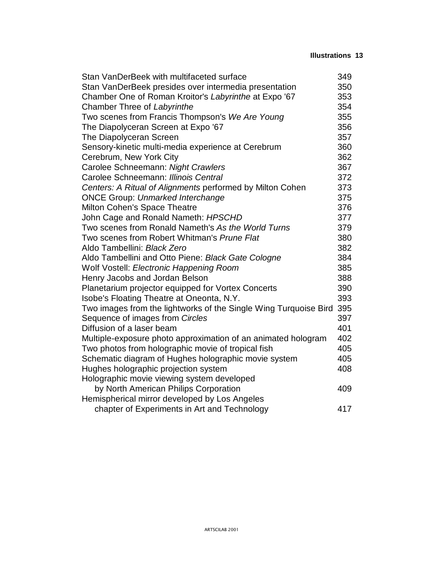| Stan VanDerBeek with multifaceted surface                        | 349 |
|------------------------------------------------------------------|-----|
| Stan VanDerBeek presides over intermedia presentation            | 350 |
| Chamber One of Roman Kroitor's Labyrinthe at Expo '67            | 353 |
| Chamber Three of Labyrinthe                                      | 354 |
| Two scenes from Francis Thompson's We Are Young                  | 355 |
| The Diapolyceran Screen at Expo '67                              | 356 |
| The Diapolyceran Screen                                          | 357 |
| Sensory-kinetic multi-media experience at Cerebrum               | 360 |
| Cerebrum, New York City                                          | 362 |
| Carolee Schneemann: Night Crawlers                               | 367 |
| Carolee Schneemann: Illinois Central                             | 372 |
| Centers: A Ritual of Alignments performed by Milton Cohen        | 373 |
| <b>ONCE Group: Unmarked Interchange</b>                          | 375 |
| Milton Cohen's Space Theatre                                     | 376 |
| John Cage and Ronald Nameth: HPSCHD                              | 377 |
| Two scenes from Ronald Nameth's As the World Turns               | 379 |
| Two scenes from Robert Whitman's Prune Flat                      | 380 |
| Aldo Tambellini: Black Zero                                      | 382 |
| Aldo Tambellini and Otto Piene: Black Gate Cologne               | 384 |
| Wolf Vostell: Electronic Happening Room                          | 385 |
| Henry Jacobs and Jordan Belson                                   | 388 |
| Planetarium projector equipped for Vortex Concerts               | 390 |
| Isobe's Floating Theatre at Oneonta, N.Y.                        | 393 |
| Two images from the lightworks of the Single Wing Turquoise Bird | 395 |
| Sequence of images from Circles                                  | 397 |
| Diffusion of a laser beam                                        | 401 |
| Multiple-exposure photo approximation of an animated hologram    | 402 |
| Two photos from holographic movie of tropical fish               | 405 |
| Schematic diagram of Hughes holographic movie system             | 405 |
| Hughes holographic projection system                             | 408 |
| Holographic movie viewing system developed                       |     |
| by North American Philips Corporation                            | 409 |
| Hemispherical mirror developed by Los Angeles                    |     |
| chapter of Experiments in Art and Technology                     | 417 |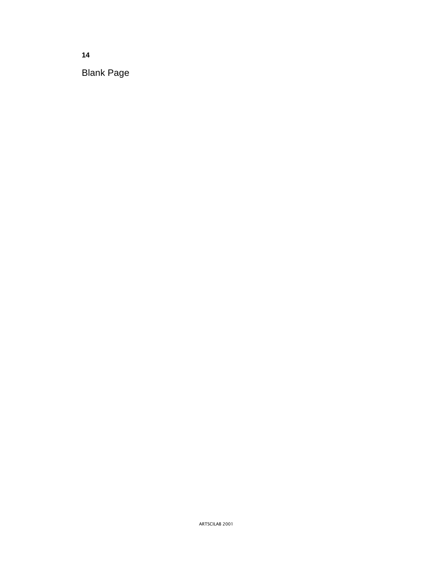Blank Page

**14**

ARTSCILAB 2001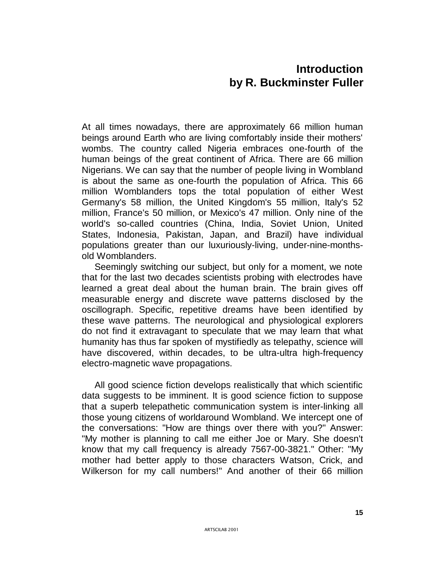## **Introduction by R. Buckminster Fuller**

At all times nowadays, there are approximately 66 million human beings around Earth who are living comfortably inside their mothers' wombs. The country called Nigeria embraces one-fourth of the human beings of the great continent of Africa. There are 66 million Nigerians. We can say that the number of people living in Wombland is about the same as one-fourth the population of Africa. This 66 million Womblanders tops the total population of either West Germany's 58 million, the United Kingdom's 55 million, Italy's 52 million, France's 50 million, or Mexico's 47 million. Only nine of the world's so-called countries (China, India, Soviet Union, United States, Indonesia, Pakistan, Japan, and Brazil) have individual populations greater than our luxuriously-living, under-nine-monthsold Womblanders.

Seemingly switching our subject, but only for a moment, we note that for the last two decades scientists probing with electrodes have learned a great deal about the human brain. The brain gives off measurable energy and discrete wave patterns disclosed by the oscillograph. Specific, repetitive dreams have been identified by these wave patterns. The neurological and physiological explorers do not find it extravagant to speculate that we may learn that what humanity has thus far spoken of mystifiedly as telepathy, science will have discovered, within decades, to be ultra-ultra high-frequency electro-magnetic wave propagations.

All good science fiction develops realistically that which scientific data suggests to be imminent. It is good science fiction to suppose that a superb telepathetic communication system is inter-linking all those young citizens of worldaround Wombland. We intercept one of the conversations: "How are things over there with you?" Answer: "My mother is planning to call me either Joe or Mary. She doesn't know that my call frequency is already 7567-00-3821." Other: "My mother had better apply to those characters Watson, Crick, and Wilkerson for my call numbers!" And another of their 66 million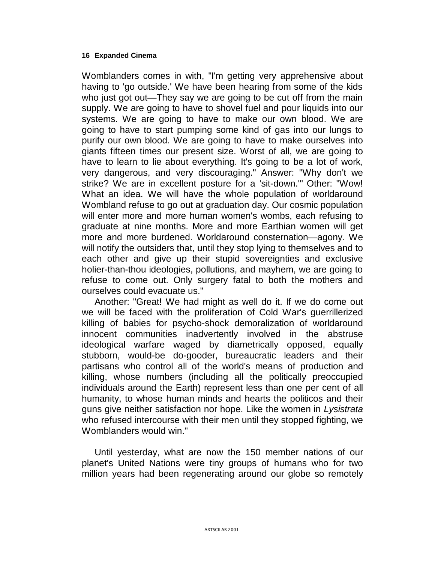Womblanders comes in with, "I'm getting very apprehensive about having to 'go outside.' We have been hearing from some of the kids who just got out— They say we are going to be cut off from the main supply. We are going to have to shovel fuel and pour liquids into our systems. We are going to have to make our own blood. We are going to have to start pumping some kind of gas into our lungs to purify our own blood. We are going to have to make ourselves into giants fifteen times our present size. Worst of all, we are going to have to learn to lie about everything. It's going to be a lot of work, very dangerous, and very discouraging." Answer: "Why don't we strike? We are in excellent posture for a 'sit-down.'" Other: "Wow! What an idea. We will have the whole population of worldaround Wombland refuse to go out at graduation day. Our cosmic population will enter more and more human women's wombs, each refusing to graduate at nine months. More and more Earthian women will get more and more burdened. Worldaround consternation— agony. We will notify the outsiders that, until they stop lying to themselves and to each other and give up their stupid sovereignties and exclusive holier-than-thou ideologies, pollutions, and mayhem, we are going to refuse to come out. Only surgery fatal to both the mothers and ourselves could evacuate us."

Another: "Great! We had might as well do it. If we do come out we will be faced with the proliferation of Cold War's guerrillerized killing of babies for psycho-shock demoralization of worldaround innocent communities inadvertently involved in the abstruse ideological warfare waged by diametrically opposed, equally stubborn, would-be do-gooder, bureaucratic leaders and their partisans who control all of the world's means of production and killing, whose numbers (including all the politically preoccupied individuals around the Earth) represent less than one per cent of all humanity, to whose human minds and hearts the politicos and their guns give neither satisfaction nor hope. Like the women in *Lysistrata*  who refused intercourse with their men until they stopped fighting, we Womblanders would win."

Until yesterday, what are now the 150 member nations of our planet's United Nations were tiny groups of humans who for two million years had been regenerating around our globe so remotely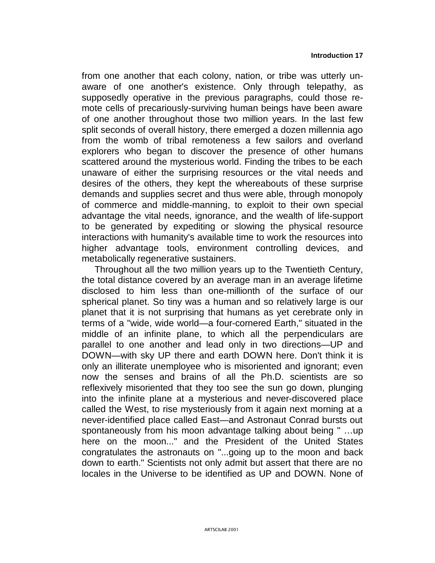from one another that each colony, nation, or tribe was utterly unaware of one another's existence. Only through telepathy, as supposedly operative in the previous paragraphs, could those remote cells of precariously-surviving human beings have been aware of one another throughout those two million years. In the last few split seconds of overall history, there emerged a dozen millennia ago from the womb of tribal remoteness a few sailors and overland explorers who began to discover the presence of other humans scattered around the mysterious world. Finding the tribes to be each unaware of either the surprising resources or the vital needs and desires of the others, they kept the whereabouts of these surprise demands and supplies secret and thus were able, through monopoly of commerce and middle-manning, to exploit to their own special advantage the vital needs, ignorance, and the wealth of life-support to be generated by expediting or slowing the physical resource interactions with humanity's available time to work the resources into higher advantage tools, environment controlling devices, and metabolically regenerative sustainers.

Throughout all the two million years up to the Twentieth Century, the total distance covered by an average man in an average lifetime disclosed to him less than one-millionth of the surface of our spherical planet. So tiny was a human and so relatively large is our planet that it is not surprising that humans as yet cerebrate only in terms of a "wide, wide world— a four-cornered Earth," situated in the middle of an infinite plane, to which all the perpendiculars are parallel to one another and lead only in two directions— UP and DOWN— with sky UP there and earth DOWN here. Don't think it is only an illiterate unemployee who is misoriented and ignorant; even now the senses and brains of all the Ph.D. scientists are so reflexively misoriented that they too see the sun go down, plunging into the infinite plane at a mysterious and never-discovered place called the West, to rise mysteriously from it again next morning at a never-identified place called East— and Astronaut Conrad bursts out spontaneously from his moon advantage talking about being " … up here on the moon..." and the President of the United States congratulates the astronauts on "...going up to the moon and back down to earth." Scientists not only admit but assert that there are no locales in the Universe to be identified as UP and DOWN. None of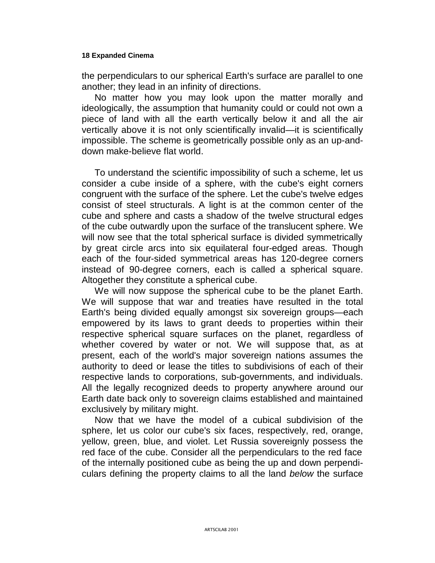the perpendiculars to our spherical Earth's surface are parallel to one another; they lead in an infinity of directions.

No matter how you may look upon the matter morally and ideologically, the assumption that humanity could or could not own a piece of land with all the earth vertically below it and all the air vertically above it is not only scientifically invalid— it is scientifically impossible. The scheme is geometrically possible only as an up-anddown make-believe flat world.

To understand the scientific impossibility of such a scheme, let us consider a cube inside of a sphere, with the cube's eight corners congruent with the surface of the sphere. Let the cube's twelve edges consist of steel structurals. A light is at the common center of the cube and sphere and casts a shadow of the twelve structural edges of the cube outwardly upon the surface of the translucent sphere. We will now see that the total spherical surface is divided symmetrically by great circle arcs into six equilateral four-edged areas. Though each of the four-sided symmetrical areas has 120-degree corners instead of 90-degree corners, each is called a spherical square. Altogether they constitute a spherical cube.

We will now suppose the spherical cube to be the planet Earth. We will suppose that war and treaties have resulted in the total Earth's being divided equally amongst six sovereign groups— each empowered by its laws to grant deeds to properties within their respective spherical square surfaces on the planet, regardless of whether covered by water or not. We will suppose that, as at present, each of the world's major sovereign nations assumes the authority to deed or lease the titles to subdivisions of each of their respective lands to corporations, sub-governments, and individuals. All the legally recognized deeds to property anywhere around our Earth date back only to sovereign claims established and maintained exclusively by military might.

Now that we have the model of a cubical subdivision of the sphere, let us color our cube's six faces, respectively, red, orange, yellow, green, blue, and violet. Let Russia sovereignly possess the red face of the cube. Consider all the perpendiculars to the red face of the internally positioned cube as being the up and down perpendiculars defining the property claims to all the land *below* the surface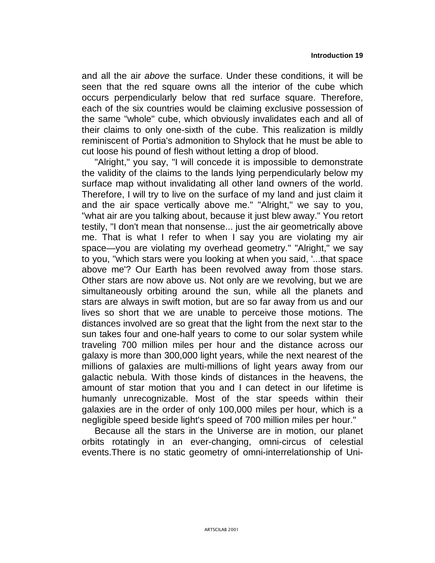and all the air *above* the surface. Under these conditions, it will be seen that the red square owns all the interior of the cube which occurs perpendicularly below that red surface square. Therefore, each of the six countries would be claiming exclusive possession of the same "whole" cube, which obviously invalidates each and all of their claims to only one-sixth of the cube. This realization is mildly reminiscent of Portia's admonition to Shylock that he must be able to cut loose his pound of flesh without letting a drop of blood.

"Alright," you say, "I will concede it is impossible to demonstrate the validity of the claims to the lands lying perpendicularly below my surface map without invalidating all other land owners of the world. Therefore, I will try to live on the surface of my land and just claim it and the air space vertically above me." "Alright," we say to you, "what air are you talking about, because it just blew away." You retort testily, "I don't mean that nonsense... just the air geometrically above me. That is what I refer to when I say you are violating my air space— you are violating my overhead geometry." "Alright," we say to you, "which stars were you looking at when you said, '...that space above me'? Our Earth has been revolved away from those stars. Other stars are now above us. Not only are we revolving, but we are simultaneously orbiting around the sun, while all the planets and stars are always in swift motion, but are so far away from us and our lives so short that we are unable to perceive those motions. The distances involved are so great that the light from the next star to the sun takes four and one-half years to come to our solar system while traveling 700 million miles per hour and the distance across our galaxy is more than 300,000 light years, while the next nearest of the millions of galaxies are multi-millions of light years away from our galactic nebula. With those kinds of distances in the heavens, the amount of star motion that you and I can detect in our lifetime is humanly unrecognizable. Most of the star speeds within their galaxies are in the order of only 100,000 miles per hour, which is a negligible speed beside light's speed of 700 million miles per hour."

Because all the stars in the Universe are in motion, our planet orbits rotatingly in an ever-changing, omni-circus of celestial events.There is no static geometry of omni-interrelationship of Uni-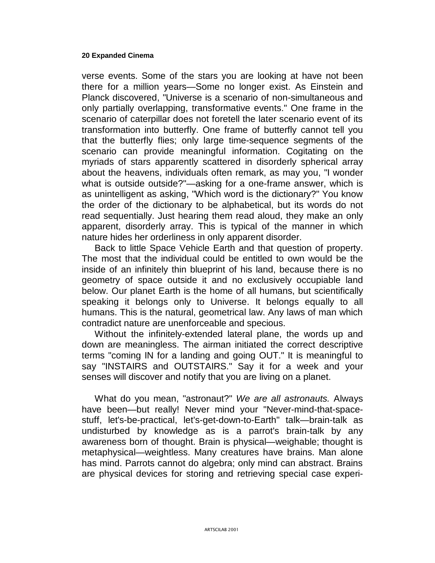verse events. Some of the stars you are looking at have not been there for a million years— Some no longer exist. As Einstein and Planck discovered, "Universe is a scenario of non-simultaneous and only partially overlapping, transformative events." One frame in the scenario of caterpillar does not foretell the later scenario event of its transformation into butterfly. One frame of butterfly cannot tell you that the butterfly flies; only large time-sequence segments of the scenario can provide meaningful information. Cogitating on the myriads of stars apparently scattered in disorderly spherical array about the heavens, individuals often remark, as may you, "I wonder what is outside outside?"— asking for a one-frame answer, which is as unintelligent as asking, "Which word is the dictionary?" You know the order of the dictionary to be alphabetical, but its words do not read sequentially. Just hearing them read aloud, they make an only apparent, disorderly array. This is typical of the manner in which nature hides her orderliness in only apparent disorder.

Back to little Space Vehicle Earth and that question of property. The most that the individual could be entitled to own would be the inside of an infinitely thin blueprint of his land, because there is no geometry of space outside it and no exclusively occupiable land below. Our planet Earth is the home of all humans, but scientifically speaking it belongs only to Universe. It belongs equally to all humans. This is the natural, geometrical law. Any laws of man which contradict nature are unenforceable and specious.

Without the infinitely-extended lateral plane, the words up and down are meaningless. The airman initiated the correct descriptive terms "coming IN for a landing and going OUT." It is meaningful to say "INSTAIRS and OUTSTAIRS." Say it for a week and your senses will discover and notify that you are living on a planet.

What do you mean, "astronaut?" *We are all astronauts.* Always have been— but really! Never mind your "Never-mind-that-spacestuff, let's-be-practical, let's-get-down-to-Earth" talk— brain-talk as undisturbed by knowledge as is a parrot's brain-talk by any awareness born of thought. Brain is physical— weighable; thought is metaphysical— weightless. Many creatures have brains. Man alone has mind. Parrots cannot do algebra; only mind can abstract. Brains are physical devices for storing and retrieving special case experi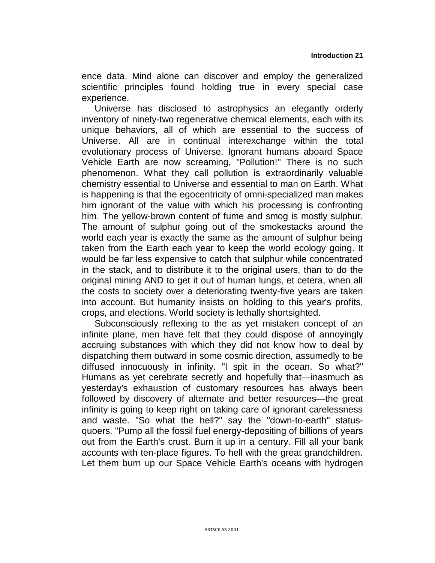ence data. Mind alone can discover and employ the generalized scientific principles found holding true in every special case experience.

Universe has disclosed to astrophysics an elegantly orderly inventory of ninety-two regenerative chemical elements, each with its unique behaviors, all of which are essential to the success of Universe. All are in continual interexchange within the total evolutionary process of Universe. Ignorant humans aboard Space Vehicle Earth are now screaming, "Pollution!" There is no such phenomenon. What they call pollution is extraordinarily valuable chemistry essential to Universe and essential to man on Earth. What is happening is that the egocentricity of omni-specialized man makes him ignorant of the value with which his processing is confronting him. The yellow-brown content of fume and smog is mostly sulphur. The amount of sulphur going out of the smokestacks around the world each year is exactly the same as the amount of sulphur being taken from the Earth each year to keep the world ecology going. It would be far less expensive to catch that sulphur while concentrated in the stack, and to distribute it to the original users, than to do the original mining AND to get it out of human lungs, et cetera, when all the costs to society over a deteriorating twenty-five years are taken into account. But humanity insists on holding to this year's profits, crops, and elections. World society is lethally shortsighted.

Subconsciously reflexing to the as yet mistaken concept of an infinite plane, men have felt that they could dispose of annoyingly accruing substances with which they did not know how to deal by dispatching them outward in some cosmic direction, assumedly to be diffused innocuously in infinity. "I spit in the ocean. So what?" Humans as yet cerebrate secretly and hopefully that— inasmuch as yesterday's exhaustion of customary resources has always been followed by discovery of alternate and better resources— the great infinity is going to keep right on taking care of ignorant carelessness and waste. "So what the hell?" say the "down-to-earth" statusquoers. "Pump all the fossil fuel energy-depositing of billions of years out from the Earth's crust. Burn it up in a century. Fill all your bank accounts with ten-place figures. To hell with the great grandchildren. Let them burn up our Space Vehicle Earth's oceans with hydrogen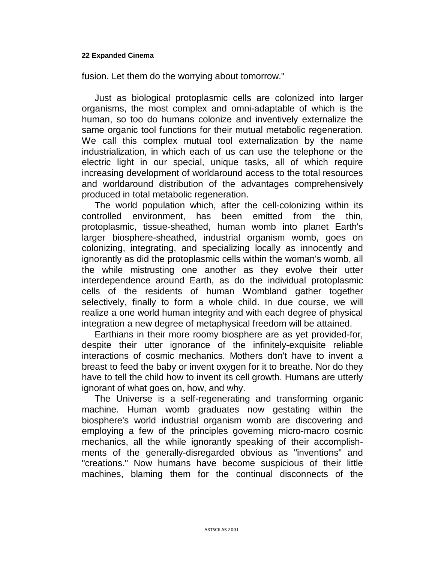fusion. Let them do the worrying about tomorrow."

Just as biological protoplasmic cells are colonized into larger organisms, the most complex and omni-adaptable of which is the human, so too do humans colonize and inventively externalize the same organic tool functions for their mutual metabolic regeneration. We call this complex mutual tool externalization by the name industrialization, in which each of us can use the telephone or the electric light in our special, unique tasks, all of which require increasing development of worldaround access to the total resources and worldaround distribution of the advantages comprehensively produced in total metabolic regeneration.

The world population which, after the cell-colonizing within its controlled environment, has been emitted from the thin, protoplasmic, tissue-sheathed, human womb into planet Earth's larger biosphere-sheathed, industrial organism womb, goes on colonizing, integrating, and specializing locally as innocently and ignorantly as did the protoplasmic cells within the woman's womb, all the while mistrusting one another as they evolve their utter interdependence around Earth, as do the individual protoplasmic cells of the residents of human Wombland gather together selectively, finally to form a whole child. In due course, we will realize a one world human integrity and with each degree of physical integration a new degree of metaphysical freedom will be attained.

Earthians in their more roomy biosphere are as yet provided-for, despite their utter ignorance of the infinitely-exquisite reliable interactions of cosmic mechanics. Mothers don't have to invent a breast to feed the baby or invent oxygen for it to breathe. Nor do they have to tell the child how to invent its cell growth. Humans are utterly ignorant of what goes on, how, and why.

The Universe is a self-regenerating and transforming organic machine. Human womb graduates now gestating within the biosphere's world industrial organism womb are discovering and employing a few of the principles governing micro-macro cosmic mechanics, all the while ignorantly speaking of their accomplishments of the generally-disregarded obvious as "inventions" and "creations." Now humans have become suspicious of their little machines, blaming them for the continual disconnects of the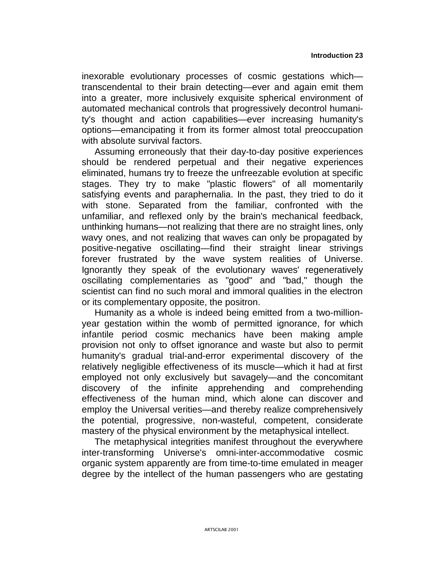inexorable evolutionary processes of cosmic gestations which transcendental to their brain detecting— ever and again emit them into a greater, more inclusively exquisite spherical environment of automated mechanical controls that progressively decontrol humanity's thought and action capabilities— ever increasing humanity's options— emancipating it from its former almost total preoccupation with absolute survival factors.

Assuming erroneously that their day-to-day positive experiences should be rendered perpetual and their negative experiences eliminated, humans try to freeze the unfreezable evolution at specific stages. They try to make "plastic flowers" of all momentarily satisfying events and paraphernalia. In the past, they tried to do it with stone. Separated from the familiar, confronted with the unfamiliar, and reflexed only by the brain's mechanical feedback, unthinking humans— not realizing that there are no straight lines, only wavy ones, and not realizing that waves can only be propagated by positive-negative oscillating— find their straight linear strivings forever frustrated by the wave system realities of Universe. Ignorantly they speak of the evolutionary waves' regeneratively oscillating complementaries as "good" and "bad," though the scientist can find no such moral and immoral qualities in the electron or its complementary opposite, the positron.

Humanity as a whole is indeed being emitted from a two-millionyear gestation within the womb of permitted ignorance, for which infantile period cosmic mechanics have been making ample provision not only to offset ignorance and waste but also to permit humanity's gradual trial-and-error experimental discovery of the relatively negligible effectiveness of its muscle— which it had at first employed not only exclusively but savagely— and the concomitant discovery of the infinite apprehending and comprehending effectiveness of the human mind, which alone can discover and employ the Universal verities— and thereby realize comprehensively the potential, progressive, non-wasteful, competent, considerate mastery of the physical environment by the metaphysical intellect.

The metaphysical integrities manifest throughout the everywhere inter-transforming Universe's omni-inter-accommodative cosmic organic system apparently are from time-to-time emulated in meager degree by the intellect of the human passengers who are gestating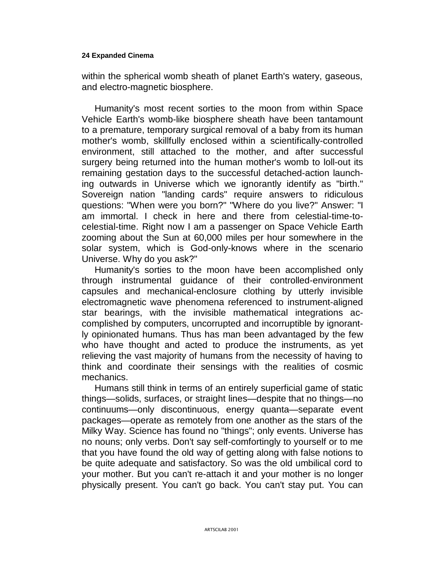within the spherical womb sheath of planet Earth's watery, gaseous, and electro-magnetic biosphere.

Humanity's most recent sorties to the moon from within Space Vehicle Earth's womb-like biosphere sheath have been tantamount to a premature, temporary surgical removal of a baby from its human mother's womb, skillfully enclosed within a scientifically-controlled environment, still attached to the mother, and after successful surgery being returned into the human mother's womb to loll-out its remaining gestation days to the successful detached-action launching outwards in Universe which we ignorantly identify as "birth." Sovereign nation "landing cards" require answers to ridiculous questions: "When were you born?" "Where do you live?" Answer: "I am immortal. I check in here and there from celestial-time-tocelestial-time. Right now I am a passenger on Space Vehicle Earth zooming about the Sun at 60,000 miles per hour somewhere in the solar system, which is God-only-knows where in the scenario Universe. Why do you ask?"

Humanity's sorties to the moon have been accomplished only through instrumental guidance of their controlled-environment capsules and mechanical-enclosure clothing by utterly invisible electromagnetic wave phenomena referenced to instrument-aligned star bearings, with the invisible mathematical integrations accomplished by computers, uncorrupted and incorruptible by ignorantly opinionated humans. Thus has man been advantaged by the few who have thought and acted to produce the instruments, as yet relieving the vast majority of humans from the necessity of having to think and coordinate their sensings with the realities of cosmic mechanics.

Humans still think in terms of an entirely superficial game of static things— solids, surfaces, or straight lines— despite that no things— no continuums— only discontinuous, energy quanta— separate event packages— operate as remotely from one another as the stars of the Milky Way. Science has found no "things"; only events. Universe has no nouns; only verbs. Don't say self-comfortingly to yourself or to me that you have found the old way of getting along with false notions to be quite adequate and satisfactory. So was the old umbilical cord to your mother. But you can't re-attach it and your mother is no longer physically present. You can't go back. You can't stay put. You can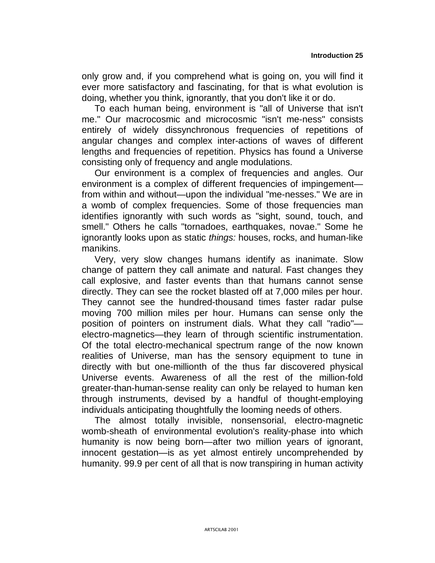only grow and, if you comprehend what is going on, you will find it ever more satisfactory and fascinating, for that is what evolution is doing, whether you think, ignorantly, that you don't like it or do.

To each human being, environment is "all of Universe that isn't me." Our macrocosmic and microcosmic "isn't me-ness" consists entirely of widely dissynchronous frequencies of repetitions of angular changes and complex inter-actions of waves of different lengths and frequencies of repetition. Physics has found a Universe consisting only of frequency and angle modulations.

Our environment is a complex of frequencies and angles. Our environment is a complex of different frequencies of impingement from within and without— upon the individual "me-nesses." We are in a womb of complex frequencies. Some of those frequencies man identifies ignorantly with such words as "sight, sound, touch, and smell." Others he calls "tornadoes, earthquakes, novae." Some he ignorantly looks upon as static *things:* houses, rocks, and human-like manikins.

Very, very slow changes humans identify as inanimate. Slow change of pattern they call animate and natural. Fast changes they call explosive, and faster events than that humans cannot sense directly. They can see the rocket blasted off at 7,000 miles per hour. They cannot see the hundred-thousand times faster radar pulse moving 700 million miles per hour. Humans can sense only the position of pointers on instrument dials. What they call "radio" electro-magnetics— they learn of through scientific instrumentation. Of the total electro-mechanical spectrum range of the now known realities of Universe, man has the sensory equipment to tune in directly with but one-millionth of the thus far discovered physical Universe events. Awareness of all the rest of the million-fold greater-than-human-sense reality can only be relayed to human ken through instruments, devised by a handful of thought-employing individuals anticipating thoughtfully the looming needs of others.

The almost totally invisible, nonsensorial, electro-magnetic womb-sheath of environmental evolution's reality-phase into which humanity is now being born— after two million years of ignorant, innocent gestation— is as yet almost entirely uncomprehended by humanity. 99.9 per cent of all that is now transpiring in human activity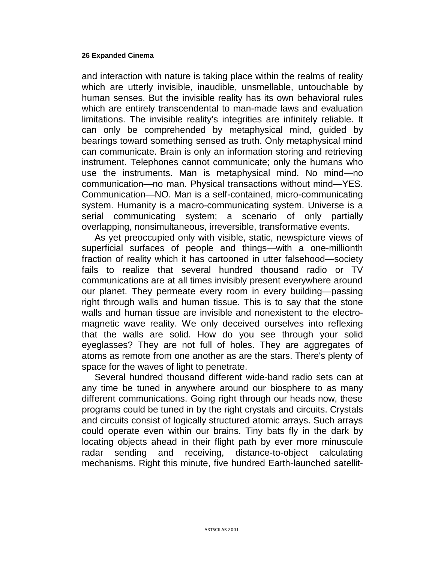and interaction with nature is taking place within the realms of reality which are utterly invisible, inaudible, unsmellable, untouchable by human senses. But the invisible reality has its own behavioral rules which are entirely transcendental to man-made laws and evaluation limitations. The invisible reality's integrities are infinitely reliable. It can only be comprehended by metaphysical mind, guided by bearings toward something sensed as truth. Only metaphysical mind can communicate. Brain is only an information storing and retrieving instrument. Telephones cannot communicate; only the humans who use the instruments. Man is metaphysical mind. No mind— no communication— no man. Physical transactions without mind— YES. Communication— NO. Man is a self-contained, micro-communicating system. Humanity is a macro-communicating system. Universe is a serial communicating system; a scenario of only partially overlapping, nonsimultaneous, irreversible, transformative events.

As yet preoccupied only with visible, static, newspicture views of superficial surfaces of people and things— with a one-millionth fraction of reality which it has cartooned in utter falsehood— society fails to realize that several hundred thousand radio or TV communications are at all times invisibly present everywhere around our planet. They permeate every room in every building— passing right through walls and human tissue. This is to say that the stone walls and human tissue are invisible and nonexistent to the electromagnetic wave reality. We only deceived ourselves into reflexing that the walls are solid. How do you see through your solid eyeglasses? They are not full of holes. They are aggregates of atoms as remote from one another as are the stars. There's plenty of space for the waves of light to penetrate.

Several hundred thousand different wide-band radio sets can at any time be tuned in anywhere around our biosphere to as many different communications. Going right through our heads now, these programs could be tuned in by the right crystals and circuits. Crystals and circuits consist of logically structured atomic arrays. Such arrays could operate even within our brains. Tiny bats fly in the dark by locating objects ahead in their flight path by ever more minuscule radar sending and receiving, distance-to-object calculating mechanisms. Right this minute, five hundred Earth-launched satellit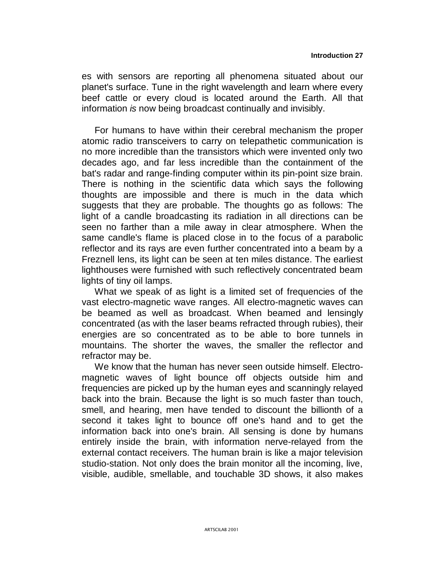es with sensors are reporting all phenomena situated about our planet's surface. Tune in the right wavelength and learn where every beef cattle or every cloud is located around the Earth. All that information *is* now being broadcast continually and invisibly.

For humans to have within their cerebral mechanism the proper atomic radio transceivers to carry on telepathetic communication is no more incredible than the transistors which were invented only two decades ago, and far less incredible than the containment of the bat's radar and range-finding computer within its pin-point size brain. There is nothing in the scientific data which says the following thoughts are impossible and there is much in the data which suggests that they are probable. The thoughts go as follows: The light of a candle broadcasting its radiation in all directions can be seen no farther than a mile away in clear atmosphere. When the same candle's flame is placed close in to the focus of a parabolic reflector and its rays are even further concentrated into a beam by a Freznell lens, its light can be seen at ten miles distance. The earliest lighthouses were furnished with such reflectively concentrated beam lights of tiny oil lamps.

What we speak of as light is a limited set of frequencies of the vast electro-magnetic wave ranges. All electro-magnetic waves can be beamed as well as broadcast. When beamed and lensingly concentrated (as with the laser beams refracted through rubies), their energies are so concentrated as to be able to bore tunnels in mountains. The shorter the waves, the smaller the reflector and refractor may be.

We know that the human has never seen outside himself. Electromagnetic waves of light bounce off objects outside him and frequencies are picked up by the human eyes and scanningly relayed back into the brain. Because the light is so much faster than touch, smell, and hearing, men have tended to discount the billionth of a second it takes light to bounce off one's hand and to get the information back into one's brain. All sensing is done by humans entirely inside the brain, with information nerve-relayed from the external contact receivers. The human brain is like a major television studio-station. Not only does the brain monitor all the incoming, live, visible, audible, smellable, and touchable 3D shows, it also makes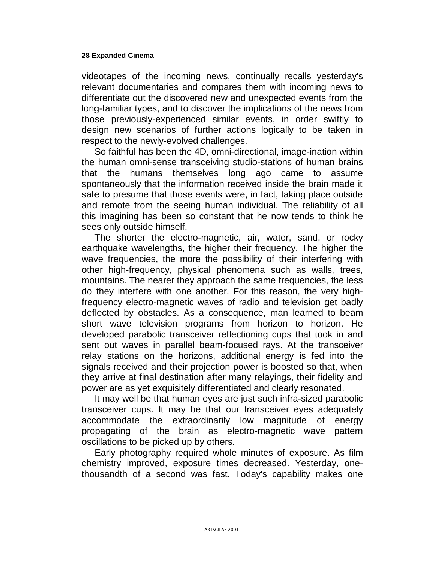videotapes of the incoming news, continually recalls yesterday's relevant documentaries and compares them with incoming news to differentiate out the discovered new and unexpected events from the long-familiar types, and to discover the implications of the news from those previously-experienced similar events, in order swiftly to design new scenarios of further actions logically to be taken in respect to the newly-evolved challenges.

So faithful has been the 4D, omni-directional, image-ination within the human omni-sense transceiving studio-stations of human brains that the humans themselves long ago came to assume spontaneously that the information received inside the brain made it safe to presume that those events were, in fact, taking place outside and remote from the seeing human individual. The reliability of all this imagining has been so constant that he now tends to think he sees only outside himself.

The shorter the electro-magnetic, air, water, sand, or rocky earthquake wavelengths, the higher their frequency. The higher the wave frequencies, the more the possibility of their interfering with other high-frequency, physical phenomena such as walls, trees, mountains. The nearer they approach the same frequencies, the less do they interfere with one another. For this reason, the very highfrequency electro-magnetic waves of radio and television get badly deflected by obstacles. As a consequence, man learned to beam short wave television programs from horizon to horizon. He developed parabolic transceiver reflectioning cups that took in and sent out waves in parallel beam-focused rays. At the transceiver relay stations on the horizons, additional energy is fed into the signals received and their projection power is boosted so that, when they arrive at final destination after many relayings, their fidelity and power are as yet exquisitely differentiated and clearly resonated.

It may well be that human eyes are just such infra-sized parabolic transceiver cups. It may be that our transceiver eyes adequately accommodate the extraordinarily low magnitude of energy propagating of the brain as electro-magnetic wave pattern oscillations to be picked up by others.

Early photography required whole minutes of exposure. As film chemistry improved, exposure times decreased. Yesterday, onethousandth of a second was fast. Today's capability makes one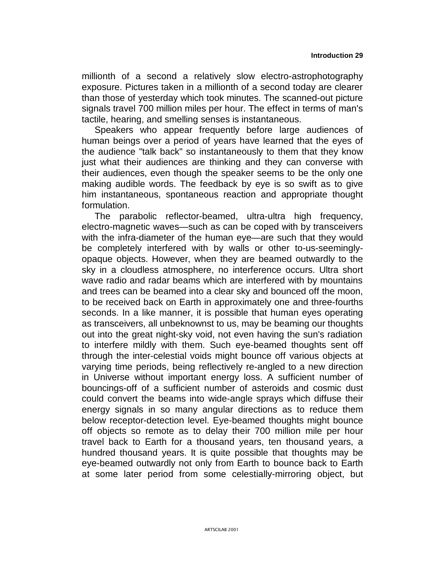millionth of a second a relatively slow electro-astrophotography exposure. Pictures taken in a millionth of a second today are clearer than those of yesterday which took minutes. The scanned-out picture signals travel 700 million miles per hour. The effect in terms of man's tactile, hearing, and smelling senses is instantaneous.

Speakers who appear frequently before large audiences of human beings over a period of years have learned that the eyes of the audience "talk back" so instantaneously to them that they know just what their audiences are thinking and they can converse with their audiences, even though the speaker seems to be the only one making audible words. The feedback by eye is so swift as to give him instantaneous, spontaneous reaction and appropriate thought formulation.

The parabolic reflector-beamed, ultra-ultra high frequency, electro-magnetic waves— such as can be coped with by transceivers with the infra-diameter of the human eye— are such that they would be completely interfered with by walls or other to-us-seeminglyopaque objects. However, when they are beamed outwardly to the sky in a cloudless atmosphere, no interference occurs. Ultra short wave radio and radar beams which are interfered with by mountains and trees can be beamed into a clear sky and bounced off the moon, to be received back on Earth in approximately one and three-fourths seconds. In a like manner, it is possible that human eyes operating as transceivers, all unbeknownst to us, may be beaming our thoughts out into the great night-sky void, not even having the sun's radiation to interfere mildly with them. Such eye-beamed thoughts sent off through the inter-celestial voids might bounce off various objects at varying time periods, being reflectively re-angled to a new direction in Universe without important energy loss. A sufficient number of bouncings-off of a sufficient number of asteroids and cosmic dust could convert the beams into wide-angle sprays which diffuse their energy signals in so many angular directions as to reduce them below receptor-detection level. Eye-beamed thoughts might bounce off objects so remote as to delay their 700 million mile per hour travel back to Earth for a thousand years, ten thousand years, a hundred thousand years. It is quite possible that thoughts may be eye-beamed outwardly not only from Earth to bounce back to Earth at some later period from some celestially-mirroring object, but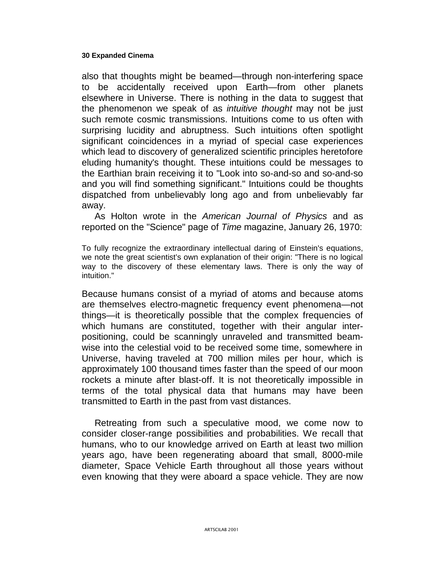also that thoughts might be beamed— through non-interfering space to be accidentally received upon Earth— from other planets elsewhere in Universe. There is nothing in the data to suggest that the phenomenon we speak of as *intuitive thought* may not be just such remote cosmic transmissions. Intuitions come to us often with surprising lucidity and abruptness. Such intuitions often spotlight significant coincidences in a myriad of special case experiences which lead to discovery of generalized scientific principles heretofore eluding humanity's thought. These intuitions could be messages to the Earthian brain receiving it to "Look into so-and-so and so-and-so and you will find something significant." Intuitions could be thoughts dispatched from unbelievably long ago and from unbelievably far away.

As Holton wrote in the *American Journal of Physics* and as reported on the "Science" page of *Time* magazine, January 26, 1970:

To fully recognize the extraordinary intellectual daring of Einstein's equations, we note the great scientist's own explanation of their origin: "There is no logical way to the discovery of these elementary laws. There is only the way of intuition."

Because humans consist of a myriad of atoms and because atoms are themselves electro-magnetic frequency event phenomena— not things— it is theoretically possible that the complex frequencies of which humans are constituted, together with their angular interpositioning, could be scanningly unraveled and transmitted beamwise into the celestial void to be received some time, somewhere in Universe, having traveled at 700 million miles per hour, which is approximately 100 thousand times faster than the speed of our moon rockets a minute after blast-off. It is not theoretically impossible in terms of the total physical data that humans may have been transmitted to Earth in the past from vast distances.

Retreating from such a speculative mood, we come now to consider closer-range possibilities and probabilities. We recall that humans, who to our knowledge arrived on Earth at least two million years ago, have been regenerating aboard that small, 8000-mile diameter, Space Vehicle Earth throughout all those years without even knowing that they were aboard a space vehicle. They are now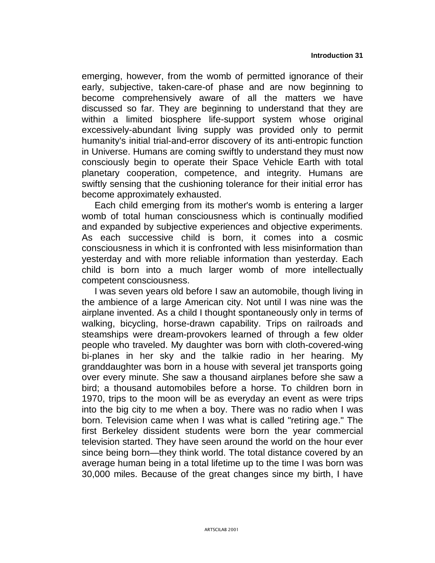emerging, however, from the womb of permitted ignorance of their early, subjective, taken-care-of phase and are now beginning to become comprehensively aware of all the matters we have discussed so far. They are beginning to understand that they are within a limited biosphere life-support system whose original excessively-abundant living supply was provided only to permit humanity's initial trial-and-error discovery of its anti-entropic function in Universe. Humans are coming swiftly to understand they must now consciously begin to operate their Space Vehicle Earth with total planetary cooperation, competence, and integrity. Humans are swiftly sensing that the cushioning tolerance for their initial error has become approximately exhausted.

Each child emerging from its mother's womb is entering a larger womb of total human consciousness which is continually modified and expanded by subjective experiences and objective experiments. As each successive child is born, it comes into a cosmic consciousness in which it is confronted with less misinformation than yesterday and with more reliable information than yesterday. Each child is born into a much larger womb of more intellectually competent consciousness.

I was seven years old before I saw an automobile, though living in the ambience of a large American city. Not until I was nine was the airplane invented. As a child I thought spontaneously only in terms of walking, bicycling, horse-drawn capability. Trips on railroads and steamships were dream-provokers learned of through a few older people who traveled. My daughter was born with cloth-covered-wing bi-planes in her sky and the talkie radio in her hearing. My granddaughter was born in a house with several jet transports going over every minute. She saw a thousand airplanes before she saw a bird; a thousand automobiles before a horse. To children born in 1970, trips to the moon will be as everyday an event as were trips into the big city to me when a boy. There was no radio when I was born. Television came when I was what is called "retiring age." The first Berkeley dissident students were born the year commercial television started. They have seen around the world on the hour ever since being born— they think world. The total distance covered by an average human being in a total lifetime up to the time I was born was 30,000 miles. Because of the great changes since my birth, I have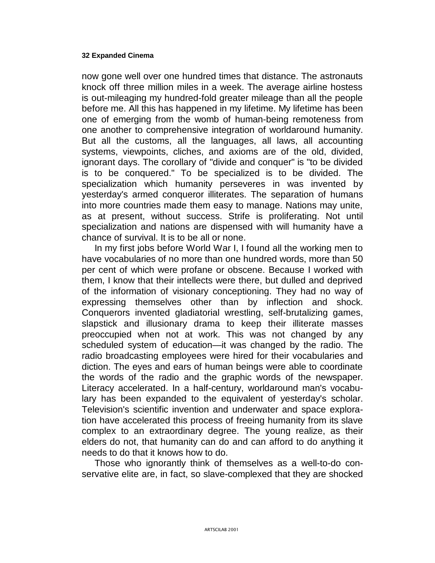now gone well over one hundred times that distance. The astronauts knock off three million miles in a week. The average airline hostess is out-mileaging my hundred-fold greater mileage than all the people before me. All this has happened in my lifetime. My lifetime has been one of emerging from the womb of human-being remoteness from one another to comprehensive integration of worldaround humanity. But all the customs, all the languages, all laws, all accounting systems, viewpoints, cliches, and axioms are of the old, divided, ignorant days. The corollary of "divide and conquer" is "to be divided is to be conquered." To be specialized is to be divided. The specialization which humanity perseveres in was invented by yesterday's armed conqueror illiterates. The separation of humans into more countries made them easy to manage. Nations may unite, as at present, without success. Strife is proliferating. Not until specialization and nations are dispensed with will humanity have a chance of survival. It is to be all or none.

In my first jobs before World War I, I found all the working men to have vocabularies of no more than one hundred words, more than 50 per cent of which were profane or obscene. Because I worked with them, I know that their intellects were there, but dulled and deprived of the information of visionary conceptioning. They had no way of expressing themselves other than by inflection and shock. Conquerors invented gladiatorial wrestling, self-brutalizing games, slapstick and illusionary drama to keep their illiterate masses preoccupied when not at work. This was not changed by any scheduled system of education—it was changed by the radio. The radio broadcasting employees were hired for their vocabularies and diction. The eyes and ears of human beings were able to coordinate the words of the radio and the graphic words of the newspaper. Literacy accelerated. In a half-century, worldaround man's vocabulary has been expanded to the equivalent of yesterday's scholar. Television's scientific invention and underwater and space exploration have accelerated this process of freeing humanity from its slave complex to an extraordinary degree. The young realize, as their elders do not, that humanity can do and can afford to do anything it needs to do that it knows how to do.

Those who ignorantly think of themselves as a well-to-do conservative elite are, in fact, so slave-complexed that they are shocked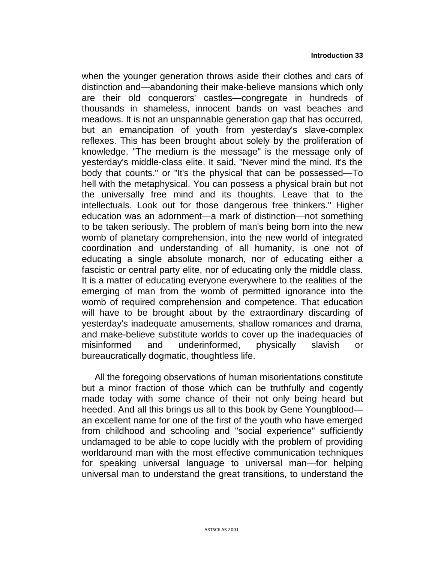when the younger generation throws aside their clothes and cars of distinction and— abandoning their make-believe mansions which only are their old conquerors' castles— congregate in hundreds of thousands in shameless, innocent bands on vast beaches and meadows. It is not an unspannable generation gap that has occurred, but an emancipation of youth from yesterday's slave-complex reflexes. This has been brought about solely by the proliferation of knowledge. "The medium is the message" is the message only of yesterday's middle-class elite. It said, "Never mind the mind. It's the body that counts." or "It's the physical that can be possessed— To hell with the metaphysical. You can possess a physical brain but not the universally free mind and its thoughts. Leave that to the intellectuals. Look out for those dangerous free thinkers." Higher education was an adornment—a mark of distinction—not something to be taken seriously. The problem of man's being born into the new womb of planetary comprehension, into the new world of integrated coordination and understanding of all humanity, is one not of educating a single absolute monarch, nor of educating either a fascistic or central party elite, nor of educating only the middle class. It is a matter of educating everyone everywhere to the realities of the emerging of man from the womb of permitted ignorance into the womb of required comprehension and competence. That education will have to be brought about by the extraordinary discarding of yesterday's inadequate amusements, shallow romances and drama, and make-believe substitute worlds to cover up the inadequacies of misinformed and underinformed, physically slavish or bureaucratically dogmatic, thoughtless life.

All the foregoing observations of human misorientations constitute but a minor fraction of those which can be truthfully and cogently made today with some chance of their not only being heard but heeded. And all this brings us all to this book by Gene Youngblood an excellent name for one of the first of the youth who have emerged from childhood and schooling and "social experience" sufficiently undamaged to be able to cope lucidly with the problem of providing worldaround man with the most effective communication techniques for speaking universal language to universal man— for helping universal man to understand the great transitions, to understand the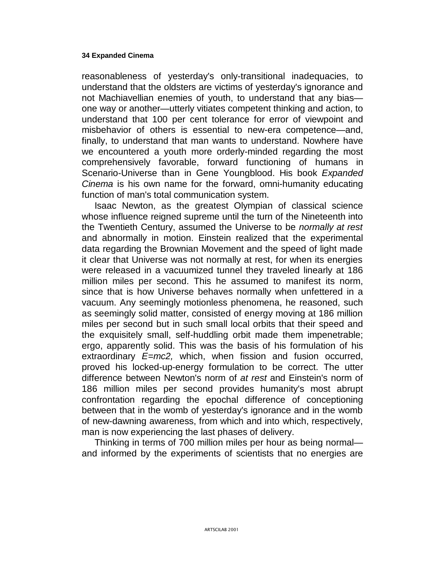reasonableness of yesterday's only-transitional inadequacies, to understand that the oldsters are victims of yesterday's ignorance and not Machiavellian enemies of youth, to understand that any bias one way or another— utterly vitiates competent thinking and action, to understand that 100 per cent tolerance for error of viewpoint and misbehavior of others is essential to new-era competence— and, finally, to understand that man wants to understand. Nowhere have we encountered a youth more orderly-minded regarding the most comprehensively favorable, forward functioning of humans in Scenario-Universe than in Gene Youngblood. His book *Expanded Cinema* is his own name for the forward, omni-humanity educating function of man's total communication system.

Isaac Newton, as the greatest Olympian of classical science whose influence reigned supreme until the turn of the Nineteenth into the Twentieth Century, assumed the Universe to be *normally at rest*  and abnormally in motion. Einstein realized that the experimental data regarding the Brownian Movement and the speed of light made it clear that Universe was not normally at rest, for when its energies were released in a vacuumized tunnel they traveled linearly at 186 million miles per second. This he assumed to manifest its norm, since that is how Universe behaves normally when unfettered in a vacuum. Any seemingly motionless phenomena, he reasoned, such as seemingly solid matter, consisted of energy moving at 186 million miles per second but in such small local orbits that their speed and the exquisitely small, self-huddling orbit made them impenetrable; ergo, apparently solid. This was the basis of his formulation of his extraordinary *E=mc2,* which, when fission and fusion occurred, proved his locked-up-energy formulation to be correct. The utter difference between Newton's norm of *at rest* and Einstein's norm of 186 million miles per second provides humanity's most abrupt confrontation regarding the epochal difference of conceptioning between that in the womb of yesterday's ignorance and in the womb of new-dawning awareness, from which and into which, respectively, man is now experiencing the last phases of delivery.

Thinking in terms of 700 million miles per hour as being normal and informed by the experiments of scientists that no energies are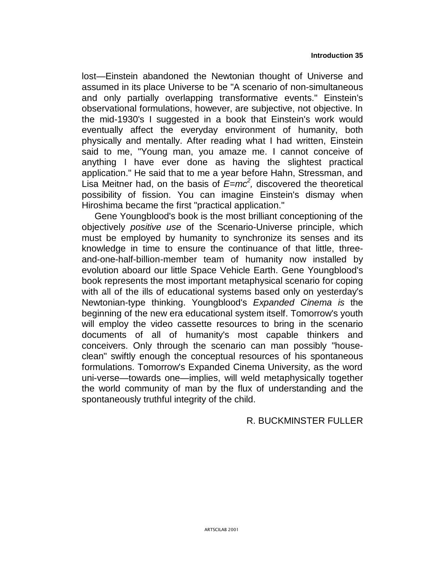lost— Einstein abandoned the Newtonian thought of Universe and assumed in its place Universe to be "A scenario of non-simultaneous and only partially overlapping transformative events." Einstein's observational formulations, however, are subjective, not objective. In the mid-1930's I suggested in a book that Einstein's work would eventually affect the everyday environment of humanity, both physically and mentally. After reading what I had written, Einstein said to me, "Young man, you amaze me. I cannot conceive of anything I have ever done as having the slightest practical application." He said that to me a year before Hahn, Stressman, and Lisa Meitner had, on the basis of *E=mc<sup>2</sup> ,* discovered the theoretical possibility of fission. You can imagine Einstein's dismay when Hiroshima became the first "practical application."

Gene Youngblood's book is the most brilliant conceptioning of the objectively *positive use* of the Scenario-Universe principle, which must be employed by humanity to synchronize its senses and its knowledge in time to ensure the continuance of that little, threeand-one-half-billion-member team of humanity now installed by evolution aboard our little Space Vehicle Earth. Gene Youngblood's book represents the most important metaphysical scenario for coping with all of the ills of educational systems based only on yesterday's Newtonian-type thinking. Youngblood's *Expanded Cinema is* the beginning of the new era educational system itself. Tomorrow's youth will employ the video cassette resources to bring in the scenario documents of all of humanity's most capable thinkers and conceivers. Only through the scenario can man possibly "houseclean" swiftly enough the conceptual resources of his spontaneous formulations. Tomorrow's Expanded Cinema University, as the word uni-verse— towards one— implies, will weld metaphysically together the world community of man by the flux of understanding and the spontaneously truthful integrity of the child.

## R. BUCKMINSTER FULLER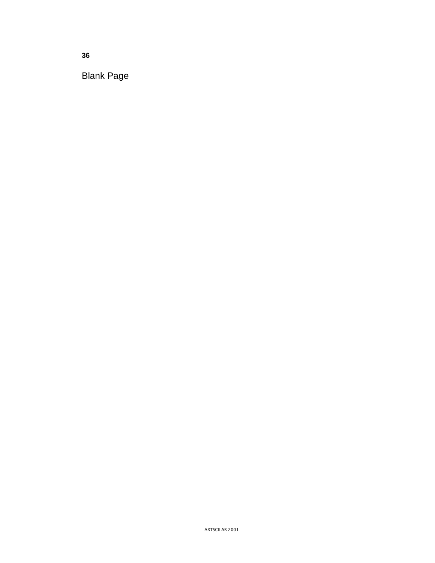Blank Page

**36**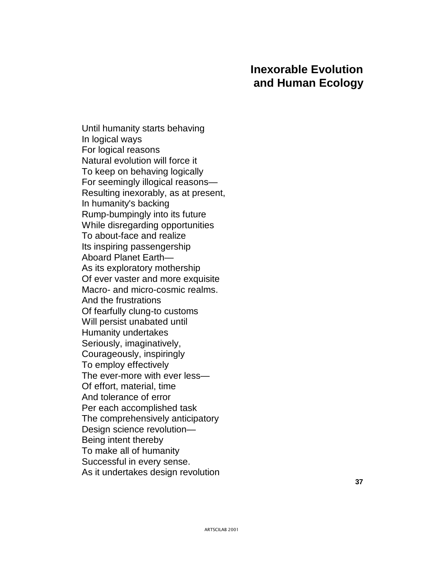## **Inexorable Evolution and Human Ecology**

Until humanity starts behaving In logical ways For logical reasons Natural evolution will force it To keep on behaving logically For seemingly illogical reasons— Resulting inexorably, as at present, In humanity's backing Rump-bumpingly into its future While disregarding opportunities To about-face and realize Its inspiring passengership Aboard Planet Earth— As its exploratory mothership Of ever vaster and more exquisite Macro- and micro-cosmic realms. And the frustrations Of fearfully clung-to customs Will persist unabated until Humanity undertakes Seriously, imaginatively, Courageously, inspiringly To employ effectively The ever-more with ever less— Of effort, material, time And tolerance of error Per each accomplished task The comprehensively anticipatory Design science revolution— Being intent thereby To make all of humanity Successful in every sense. As it undertakes design revolution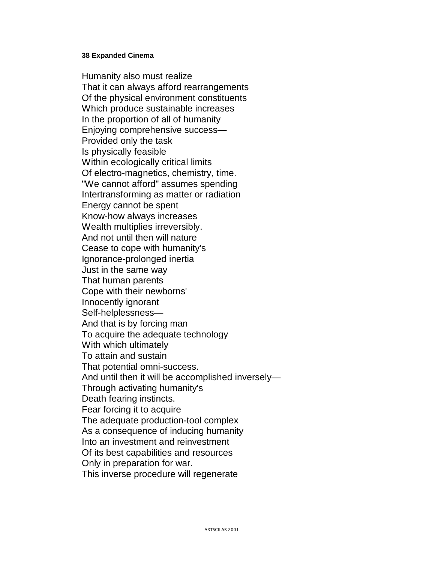Humanity also must realize That it can always afford rearrangements Of the physical environment constituents Which produce sustainable increases In the proportion of all of humanity Enjoying comprehensive success— Provided only the task Is physically feasible Within ecologically critical limits Of electro-magnetics, chemistry, time. "We cannot afford" assumes spending Intertransforming as matter or radiation Energy cannot be spent Know-how always increases Wealth multiplies irreversibly. And not until then will nature Cease to cope with humanity's Ignorance-prolonged inertia Just in the same way That human parents Cope with their newborns' Innocently ignorant Self-helplessness— And that is by forcing man To acquire the adequate technology With which ultimately To attain and sustain That potential omni-success. And until then it will be accomplished inversely— Through activating humanity's Death fearing instincts. Fear forcing it to acquire The adequate production-tool complex As a consequence of inducing humanity Into an investment and reinvestment Of its best capabilities and resources Only in preparation for war. This inverse procedure will regenerate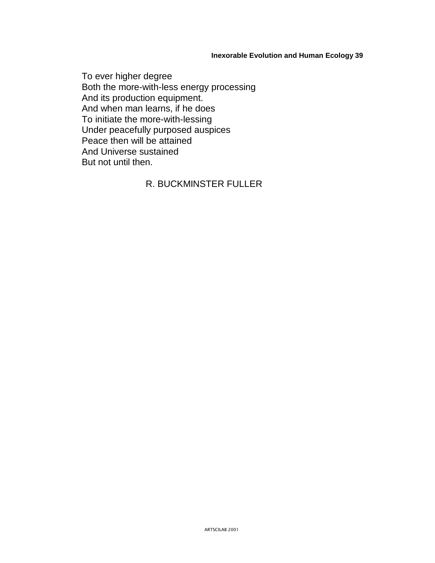#### **Inexorable Evolution and Human Ecology 39**

To ever higher degree Both the more-with-less energy processing And its production equipment. And when man learns, if he does To initiate the more-with-lessing Under peacefully purposed auspices Peace then will be attained And Universe sustained But not until then.

### R. BUCKMINSTER FULLER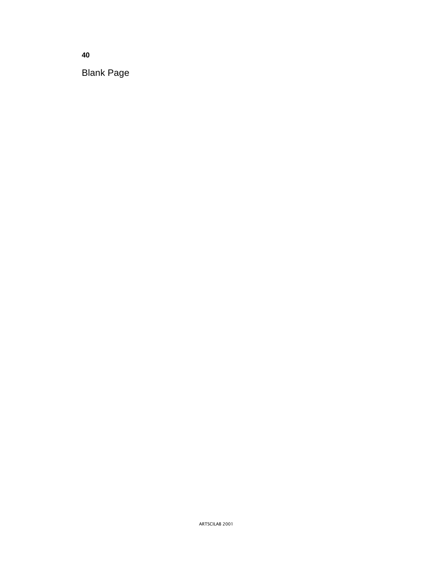Blank Page

**40**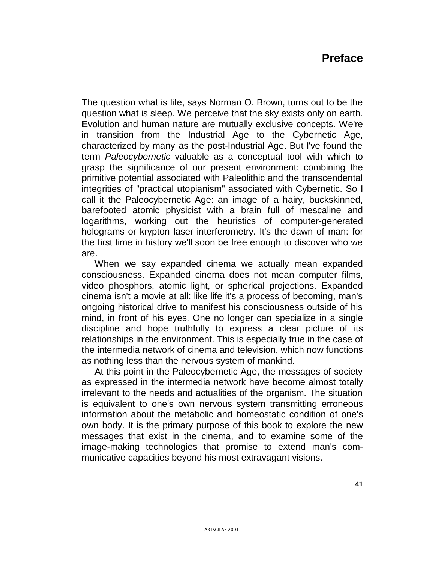The question what is life, says Norman O. Brown, turns out to be the question what is sleep. We perceive that the sky exists only on earth. Evolution and human nature are mutually exclusive concepts. We're in transition from the Industrial Age to the Cybernetic Age, characterized by many as the post-Industrial Age. But I've found the term *Paleocybernetic* valuable as a conceptual tool with which to grasp the significance of our present environment: combining the primitive potential associated with Paleolithic and the transcendental integrities of "practical utopianism" associated with Cybernetic. So I call it the Paleocybernetic Age: an image of a hairy, buckskinned, barefooted atomic physicist with a brain full of mescaline and logarithms, working out the heuristics of computer-generated holograms or krypton laser interferometry. It's the dawn of man: for the first time in history we'll soon be free enough to discover who we are.

When we say expanded cinema we actually mean expanded consciousness. Expanded cinema does not mean computer films, video phosphors, atomic light, or spherical projections. Expanded cinema isn't a movie at all: like life it's a process of becoming, man's ongoing historical drive to manifest his consciousness outside of his mind, in front of his eyes. One no longer can specialize in a single discipline and hope truthfully to express a clear picture of its relationships in the environment. This is especially true in the case of the intermedia network of cinema and television, which now functions as nothing less than the nervous system of mankind.

At this point in the Paleocybernetic Age, the messages of society as expressed in the intermedia network have become almost totally irrelevant to the needs and actualities of the organism. The situation is equivalent to one's own nervous system transmitting erroneous information about the metabolic and homeostatic condition of one's own body. It is the primary purpose of this book to explore the new messages that exist in the cinema, and to examine some of the image-making technologies that promise to extend man's communicative capacities beyond his most extravagant visions.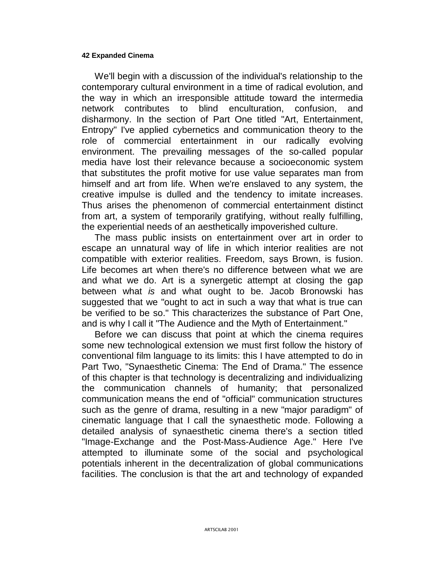We'll begin with a discussion of the individual's relationship to the contemporary cultural environment in a time of radical evolution, and the way in which an irresponsible attitude toward the intermedia network contributes to blind enculturation, confusion, and disharmony. In the section of Part One titled "Art, Entertainment, Entropy" I've applied cybernetics and communication theory to the role of commercial entertainment in our radically evolving environment. The prevailing messages of the so-called popular media have lost their relevance because a socioeconomic system that substitutes the profit motive for use value separates man from himself and art from life. When we're enslaved to any system, the creative impulse is dulled and the tendency to imitate increases. Thus arises the phenomenon of commercial entertainment distinct from art, a system of temporarily gratifying, without really fulfilling, the experiential needs of an aesthetically impoverished culture.

The mass public insists on entertainment over art in order to escape an unnatural way of life in which interior realities are not compatible with exterior realities. Freedom, says Brown, is fusion. Life becomes art when there's no difference between what we are and what we do. Art is a synergetic attempt at closing the gap between what *is* and what ought to be. Jacob Bronowski has suggested that we "ought to act in such a way that what is true can be verified to be so." This characterizes the substance of Part One, and is why I call it "The Audience and the Myth of Entertainment."

Before we can discuss that point at which the cinema requires some new technological extension we must first follow the history of conventional film language to its limits: this I have attempted to do in Part Two, "Synaesthetic Cinema: The End of Drama." The essence of this chapter is that technology is decentralizing and individualizing the communication channels of humanity; that personalized communication means the end of "official" communication structures such as the genre of drama, resulting in a new "major paradigm" of cinematic language that I call the synaesthetic mode. Following a detailed analysis of synaesthetic cinema there's a section titled "Image-Exchange and the Post-Mass-Audience Age." Here I've attempted to illuminate some of the social and psychological potentials inherent in the decentralization of global communications facilities. The conclusion is that the art and technology of expanded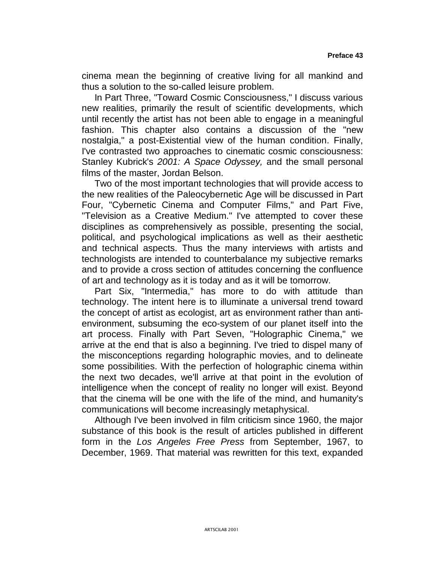cinema mean the beginning of creative living for all mankind and thus a solution to the so-called leisure problem.

In Part Three, "Toward Cosmic Consciousness," I discuss various new realities, primarily the result of scientific developments, which until recently the artist has not been able to engage in a meaningful fashion. This chapter also contains a discussion of the "new nostalgia," a post-Existential view of the human condition. Finally, I've contrasted two approaches to cinematic cosmic consciousness: Stanley Kubrick's *2001: A Space Odyssey,* and the small personal films of the master, Jordan Belson.

Two of the most important technologies that will provide access to the new realities of the Paleocybernetic Age will be discussed in Part Four, "Cybernetic Cinema and Computer Films," and Part Five, "Television as a Creative Medium." I've attempted to cover these disciplines as comprehensively as possible, presenting the social, political, and psychological implications as well as their aesthetic and technical aspects. Thus the many interviews with artists and technologists are intended to counterbalance my subjective remarks and to provide a cross section of attitudes concerning the confluence of art and technology as it is today and as it will be tomorrow.

Part Six, "Intermedia," has more to do with attitude than technology. The intent here is to illuminate a universal trend toward the concept of artist as ecologist, art as environment rather than antienvironment, subsuming the eco-system of our planet itself into the art process. Finally with Part Seven, "Holographic Cinema," we arrive at the end that is also a beginning. I've tried to dispel many of the misconceptions regarding holographic movies, and to delineate some possibilities. With the perfection of holographic cinema within the next two decades, we'll arrive at that point in the evolution of intelligence when the concept of reality no longer will exist. Beyond that the cinema will be one with the life of the mind, and humanity's communications will become increasingly metaphysical.

Although I've been involved in film criticism since 1960, the major substance of this book is the result of articles published in different form in the *Los Angeles Free Press* from September, 1967, to December, 1969. That material was rewritten for this text, expanded